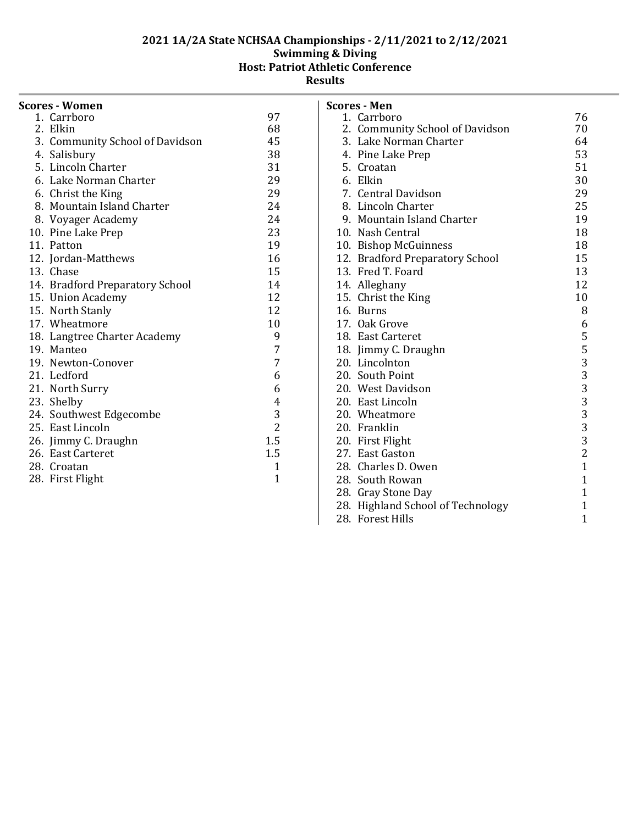| <b>Scores - Women</b>           |                |
|---------------------------------|----------------|
| 1. Carrboro                     | 97             |
| 2. Elkin                        | 68             |
| 3. Community School of Davidson | 45             |
| 4. Salisbury                    | 38             |
| 5. Lincoln Charter              | 31             |
| 6. Lake Norman Charter          | 29             |
| 6. Christ the King              | 29             |
| 8. Mountain Island Charter      | 24             |
| 8. Voyager Academy              | 24             |
| 10. Pine Lake Prep              | 23             |
| 11. Patton                      | 19             |
| 12. Jordan-Matthews             | 16             |
| 13. Chase                       | 15             |
| 14. Bradford Preparatory School | 14             |
| 15. Union Academy               | 12             |
| 15. North Stanly                | 12             |
| 17. Wheatmore                   | 10             |
| 18. Langtree Charter Academy    | 9              |
| 19. Manteo                      | 7              |
| 19. Newton-Conover              | 7              |
| 21. Ledford                     | 6              |
| 21. North Surry                 | 6              |
| 23. Shelby                      | $\overline{4}$ |
| 24. Southwest Edgecombe         | 3              |
| 25. East Lincoln                | $\overline{2}$ |
| 26. Jimmy C. Draughn            | 1.5            |
| 26. East Carteret               | 1.5            |
| 28. Croatan                     | 1              |
| 28. First Flight                | 1              |
|                                 |                |

| Scores - Men                      |                |
|-----------------------------------|----------------|
| 1. Carrboro                       | 76             |
| 2. Community School of Davidson   | 70             |
| 3. Lake Norman Charter            | 64             |
| 4. Pine Lake Prep                 | 53             |
| 5. Croatan                        | 51             |
| 6. Elkin                          | 30             |
| 7. Central Davidson               | 29             |
| 8. Lincoln Charter                | 25             |
| 9. Mountain Island Charter        | 19             |
| 10. Nash Central                  | 18             |
| 10. Bishop McGuinness             | 18             |
| 12. Bradford Preparatory School   | 15             |
| 13. Fred T. Foard                 | 13             |
| 14. Alleghany                     | 12             |
| 15. Christ the King               | 10             |
| 16. Burns                         | 8              |
| 17. Oak Grove                     | 6              |
| 18. East Carteret                 | 5              |
| 18. Jimmy C. Draughn              | 53333332       |
| 20. Lincolnton                    |                |
| 20. South Point                   |                |
| 20. West Davidson                 |                |
| 20. East Lincoln                  |                |
| 20. Wheatmore                     |                |
| 20. Franklin                      |                |
| 20. First Flight                  |                |
| 27. East Gaston                   |                |
| 28. Charles D. Owen               | $\overline{1}$ |
| 28. South Rowan                   | $\mathbf{1}$   |
| 28. Gray Stone Day                | $\mathbf{1}$   |
| 28. Highland School of Technology | 1              |
| 28. Forest Hills                  | $\overline{1}$ |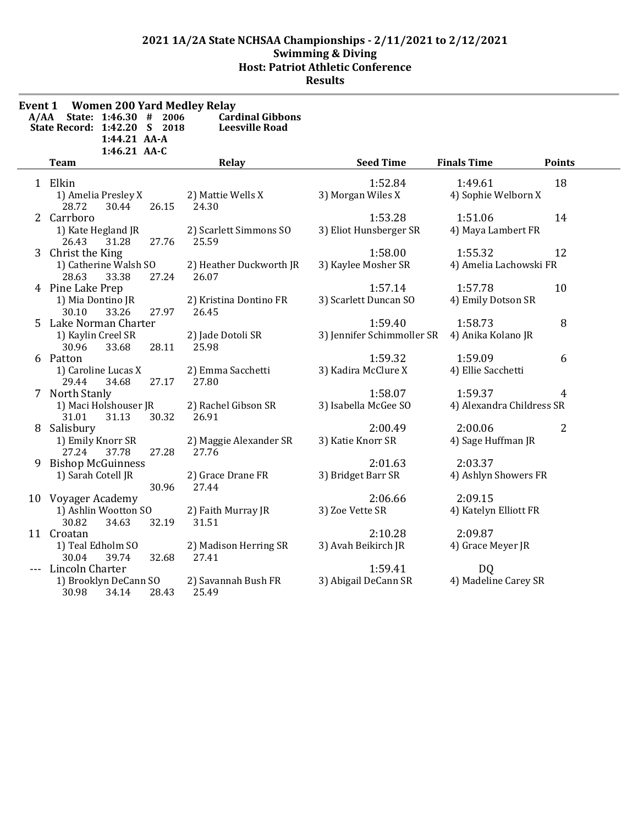| Event 1 | <b>Women 200 Yard Medley Relay</b>             |                         |                            |                           |                |
|---------|------------------------------------------------|-------------------------|----------------------------|---------------------------|----------------|
| A/AA    | State: 1:46.30 #<br>2006                       | <b>Cardinal Gibbons</b> |                            |                           |                |
|         | State Record: 1:42.20 S 2018<br>1:44.21 AA-A   | <b>Leesville Road</b>   |                            |                           |                |
|         | 1:46.21 AA-C                                   |                         |                            |                           |                |
|         | <b>Team</b>                                    | Relay                   | <b>Seed Time</b>           | <b>Finals Time</b>        | <b>Points</b>  |
|         | 1 Elkin                                        |                         | 1:52.84                    | 1:49.61                   | 18             |
|         |                                                | 2) Mattie Wells X       | 3) Morgan Wiles X          | 4) Sophie Welborn X       |                |
|         | 1) Amelia Presley X<br>28.72<br>30.44<br>26.15 | 24.30                   |                            |                           |                |
|         | 2 Carrboro                                     |                         | 1:53.28                    | 1:51.06                   | 14             |
|         | 1) Kate Hegland JR                             | 2) Scarlett Simmons SO  | 3) Eliot Hunsberger SR     | 4) Maya Lambert FR        |                |
|         | 31.28<br>27.76<br>26.43                        | 25.59                   |                            |                           |                |
|         | 3 Christ the King                              |                         | 1:58.00                    | 1:55.32                   | 12             |
|         | 1) Catherine Walsh SO                          | 2) Heather Duckworth JR | 3) Kaylee Mosher SR        | 4) Amelia Lachowski FR    |                |
|         | 27.24<br>28.63<br>33.38                        | 26.07                   |                            |                           |                |
|         | 4 Pine Lake Prep                               |                         | 1:57.14                    | 1:57.78                   | 10             |
|         | 1) Mia Dontino JR                              | 2) Kristina Dontino FR  | 3) Scarlett Duncan SO      | 4) Emily Dotson SR        |                |
|         | 30.10<br>33.26<br>27.97                        | 26.45                   |                            |                           |                |
|         | 5 Lake Norman Charter                          |                         | 1:59.40                    | 1:58.73                   | 8              |
|         | 1) Kaylin Creel SR                             | 2) Jade Dotoli SR       | 3) Jennifer Schimmoller SR | 4) Anika Kolano JR        |                |
|         | 30.96<br>33.68<br>28.11                        | 25.98                   |                            |                           |                |
|         | 6 Patton                                       |                         | 1:59.32                    | 1:59.09                   | 6              |
|         | 1) Caroline Lucas X                            | 2) Emma Sacchetti       | 3) Kadira McClure X        | 4) Ellie Sacchetti        |                |
|         | 29.44<br>34.68<br>27.17                        | 27.80                   |                            |                           |                |
|         | 7 North Stanly                                 |                         | 1:58.07                    | 1:59.37                   | 4              |
|         | 1) Maci Holshouser JR                          | 2) Rachel Gibson SR     | 3) Isabella McGee SO       | 4) Alexandra Childress SR |                |
|         | 30.32<br>31.01<br>31.13                        | 26.91                   |                            |                           |                |
|         | 8 Salisbury                                    |                         | 2:00.49                    | 2:00.06                   | $\overline{2}$ |
|         | 1) Emily Knorr SR                              | 2) Maggie Alexander SR  | 3) Katie Knorr SR          | 4) Sage Huffman JR        |                |
|         | 27.24<br>37.78<br>27.28                        | 27.76                   |                            |                           |                |
|         | 9 Bishop McGuinness                            |                         | 2:01.63                    | 2:03.37                   |                |
|         | 1) Sarah Cotell JR                             | 2) Grace Drane FR       | 3) Bridget Barr SR         | 4) Ashlyn Showers FR      |                |
|         | 30.96                                          | 27.44                   |                            |                           |                |
|         | 10 Voyager Academy                             |                         | 2:06.66                    | 2:09.15                   |                |
|         | 1) Ashlin Wootton SO                           | 2) Faith Murray JR      | 3) Zoe Vette SR            | 4) Katelyn Elliott FR     |                |
|         | 30.82<br>32.19<br>34.63                        | 31.51                   |                            |                           |                |
|         | 11 Croatan                                     |                         | 2:10.28                    | 2:09.87                   |                |
|         | 1) Teal Edholm SO                              | 2) Madison Herring SR   | 3) Avah Beikirch JR        | 4) Grace Meyer JR         |                |
|         | 30.04<br>39.74<br>32.68                        | 27.41                   |                            |                           |                |
|         | Lincoln Charter                                |                         | 1:59.41                    | DQ                        |                |
|         | 1) Brooklyn DeCann SO                          | 2) Savannah Bush FR     | 3) Abigail DeCann SR       | 4) Madeline Carey SR      |                |
|         | 30.98<br>28.43<br>34.14                        | 25.49                   |                            |                           |                |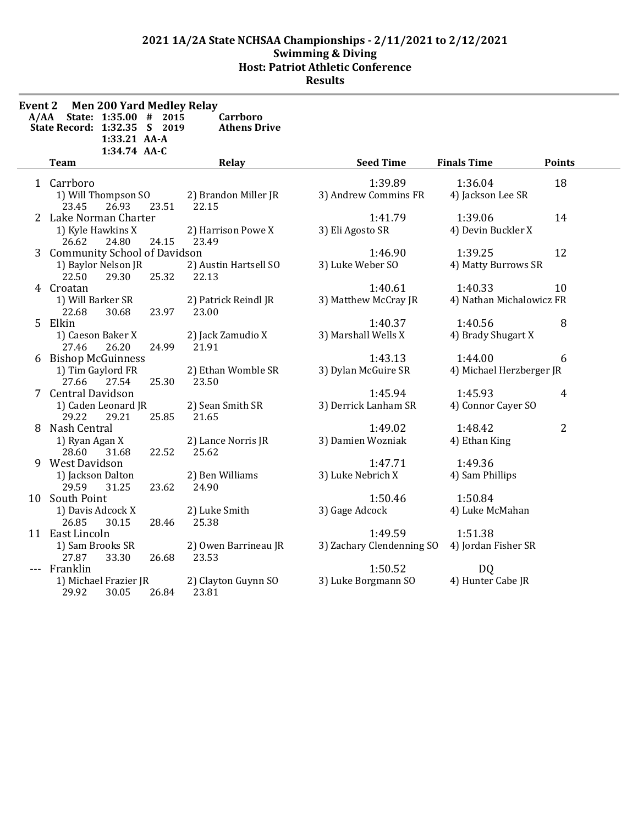| <b>Event 2</b> | Men 200 Yard Medley Relay<br>A/AA State: 1:35.00 # 2015<br>State Record: 1:32.35 S 2019 | 1:33.21 AA-A<br>1:34.74 AA-C |       | Carrboro<br><b>Athens Drive</b> |                                      |                                     |                |
|----------------|-----------------------------------------------------------------------------------------|------------------------------|-------|---------------------------------|--------------------------------------|-------------------------------------|----------------|
|                | Team                                                                                    |                              |       | Relay                           | <b>Seed Time</b>                     | <b>Finals Time</b>                  | <b>Points</b>  |
|                | 1 Carrboro<br>1) Will Thompson SO<br>23.45                                              | 26.93                        | 23.51 | 2) Brandon Miller JR<br>22.15   | 1:39.89<br>3) Andrew Commins FR      | 1:36.04<br>4) Jackson Lee SR        | 18             |
|                | 2 Lake Norman Charter<br>1) Kyle Hawkins X<br>26.62                                     | 24.80                        | 24.15 | 2) Harrison Powe X<br>23.49     | 1:41.79<br>3) Eli Agosto SR          | 1:39.06<br>4) Devin Buckler X       | 14             |
|                | 3 Community School of Davidson<br>1) Baylor Nelson JR<br>22.50                          | 29.30                        | 25.32 | 2) Austin Hartsell SO<br>22.13  | 1:46.90<br>3) Luke Weber SO          | 1:39.25<br>4) Matty Burrows SR      | 12             |
|                | 4 Croatan<br>1) Will Barker SR<br>22.68                                                 | 30.68                        | 23.97 | 2) Patrick Reindl JR<br>23.00   | 1:40.61<br>3) Matthew McCray JR      | 1:40.33<br>4) Nathan Michalowicz FR | 10             |
|                | 5 Elkin<br>1) Caeson Baker X<br>27.46                                                   | 26.20                        | 24.99 | 2) Jack Zamudio X<br>21.91      | 1:40.37<br>3) Marshall Wells X       | 1:40.56<br>4) Brady Shugart X       | 8              |
|                | 6 Bishop McGuinness<br>1) Tim Gaylord FR<br>27.66                                       | 27.54                        | 25.30 | 2) Ethan Womble SR<br>23.50     | 1:43.13<br>3) Dylan McGuire SR       | 1:44.00<br>4) Michael Herzberger JR | 6              |
|                | 7 Central Davidson<br>1) Caden Leonard JR<br>29.22                                      | 29.21                        | 25.85 | 2) Sean Smith SR<br>21.65       | 1:45.94<br>3) Derrick Lanham SR      | 1:45.93<br>4) Connor Cayer SO       | $\overline{4}$ |
|                | 8 Nash Central<br>1) Ryan Agan X<br>28.60                                               | 31.68                        | 22.52 | 2) Lance Norris JR<br>25.62     | 1:49.02<br>3) Damien Wozniak         | 1:48.42<br>4) Ethan King            | $\overline{2}$ |
|                | 9 West Davidson<br>1) Jackson Dalton<br>29.59                                           | 31.25                        | 23.62 | 2) Ben Williams<br>24.90        | 1:47.71<br>3) Luke Nebrich X         | 1:49.36<br>4) Sam Phillips          |                |
|                | 10 South Point<br>1) Davis Adcock X<br>26.85                                            | 30.15                        | 28.46 | 2) Luke Smith<br>25.38          | 1:50.46<br>3) Gage Adcock            | 1:50.84<br>4) Luke McMahan          |                |
|                | 11 East Lincoln<br>1) Sam Brooks SR<br>27.87                                            | 33.30                        | 26.68 | 2) Owen Barrineau JR<br>23.53   | 1:49.59<br>3) Zachary Clendenning SO | 1:51.38<br>4) Jordan Fisher SR      |                |
|                | Franklin<br>1) Michael Frazier JR<br>29.92                                              | 30.05                        | 26.84 | 2) Clayton Guynn SO<br>23.81    | 1:50.52<br>3) Luke Borgmann SO       | DQ<br>4) Hunter Cabe JR             |                |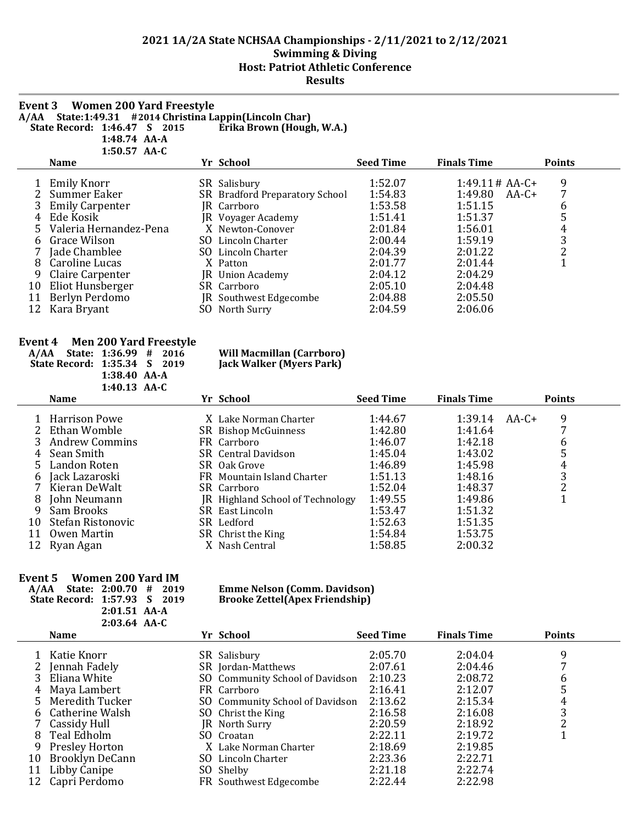#### **Event 3 Women 200 Yard Freestyle A/AA State:1:49.31 #2014 Christina Lappin(Lincoln Char) State Record: 1:46.47 \$ 2015 1:48.74 AA-A**

**1:50.57 AA-C**

 $\overline{a}$ 

|    | <b>Name</b>            |     | Yr School                      | <b>Seed Time</b> | <b>Finals Time</b> | <b>Points</b> |
|----|------------------------|-----|--------------------------------|------------------|--------------------|---------------|
|    | <b>Emily Knorr</b>     |     | SR Salisbury                   | 1:52.07          | $1:49.11 \# AA-C+$ | 9             |
|    | Summer Eaker           |     | SR Bradford Preparatory School | 1:54.83          | 1:49.80<br>$AA-C+$ | 7             |
|    | 3 Emily Carpenter      |     | JR Carrboro                    | 1:53.58          | 1:51.15            | 6             |
|    | 4 Ede Kosik            |     | JR Voyager Academy             | 1:51.41          | 1:51.37            | 5             |
|    | Valeria Hernandez-Pena |     | X Newton-Conover               | 2:01.84          | 1:56.01            | 4             |
| 6  | Grace Wilson           | SO. | Lincoln Charter                | 2:00.44          | 1:59.19            | 3             |
|    | Jade Chamblee          |     | SO Lincoln Charter             | 2:04.39          | 2:01.22            | 2             |
| 8  | Caroline Lucas         |     | X Patton                       | 2:01.77          | 2:01.44            |               |
| 9  | Claire Carpenter       |     | JR Union Academy               | 2:04.12          | 2:04.29            |               |
| 10 | Eliot Hunsberger       |     | SR Carrboro                    | 2:05.10          | 2:04.48            |               |
| 11 | Berlyn Perdomo         |     | JR Southwest Edgecombe         | 2:04.88          | 2:05.50            |               |
| 12 | Kara Bryant            |     | North Surry                    | 2:04.59          | 2:06.06            |               |

#### **Event 4 Men 200 Yard Freestyle**

**A/AA State: 1:36.99 # 2016 Will Macmillan (Carrboro) State Record: 1:35.34 S 2019 1:38.40 AA-A 1:40.13 AA-C**

|    | <b>Name</b>       | Yr School                               | <b>Seed Time</b> | <b>Finals Time</b> |         | <b>Points</b> |  |
|----|-------------------|-----------------------------------------|------------------|--------------------|---------|---------------|--|
|    | 1 Harrison Powe   | X. Lake Norman Charter                  | 1:44.67          | 1:39.14            | $AA-C+$ | 9             |  |
|    | 2 Ethan Womble    | SR Bishop McGuinness                    | 1:42.80          | 1:41.64            |         |               |  |
|    | 3 Andrew Commins  | FR Carrboro                             | 1:46.07          | 1:42.18            |         | 6             |  |
| 4  | Sean Smith        | SR Central Davidson                     | 1:45.04          | 1:43.02            |         |               |  |
|    | 5 Landon Roten    | SR Oak Grove                            | 1:46.89          | 1:45.98            |         | 4             |  |
| 6  | Jack Lazaroski    | FR Mountain Island Charter              | 1:51.13          | 1:48.16            |         | 3             |  |
| 7  | Kieran DeWalt     | SR Carrboro                             | 1:52.04          | 1:48.37            |         | า             |  |
| 8  | John Neumann      | <b>IR</b> Highland School of Technology | 1:49.55          | 1:49.86            |         |               |  |
| 9  | Sam Brooks        | SR East Lincoln                         | 1:53.47          | 1:51.32            |         |               |  |
| 10 | Stefan Ristonovic | SR Ledford                              | 1:52.63          | 1:51.35            |         |               |  |
| 11 | Owen Martin       | SR Christ the King                      | 1:54.84          | 1:53.75            |         |               |  |
|    | 12 Ryan Agan      | X Nash Central                          | 1:58.85          | 2:00.32            |         |               |  |

### **Event 5 Women 200 Yard IM**

**State Record: 1:57.93 S 2019 Brooke Zettel(Apex Friendship) 2:01.51 AA-A 2:03.64 AA-C**

# **A/AA State: 2:00.70 # 2019 Emme Nelson (Comm. Davidson)**

|    | <b>Name</b>       | Yr School                       | <b>Seed Time</b> | <b>Finals Time</b> | <b>Points</b> |  |
|----|-------------------|---------------------------------|------------------|--------------------|---------------|--|
|    | Katie Knorr       | SR Salisbury                    | 2:05.70          | 2:04.04            | 9             |  |
|    | 2 Jennah Fadely   | SR Jordan-Matthews              | 2:07.61          | 2:04.46            |               |  |
|    | 3 Eliana White    | SO Community School of Davidson | 2:10.23          | 2:08.72            | 6             |  |
|    | 4 Maya Lambert    | FR Carrboro                     | 2:16.41          | 2:12.07            |               |  |
|    | 5 Meredith Tucker | SO Community School of Davidson | 2:13.62          | 2:15.34            | 4             |  |
|    | 6 Catherine Walsh | SO Christ the King              | 2:16.58          | 2:16.08            | 3             |  |
|    | 7 Cassidy Hull    | JR North Surry                  | 2:20.59          | 2:18.92            |               |  |
|    | 8 Teal Edholm     | SO Croatan                      | 2:22.11          | 2:19.72            |               |  |
| 9. | Presley Horton    | X Lake Norman Charter           | 2:18.69          | 2:19.85            |               |  |
| 10 | Brooklyn DeCann   | SO Lincoln Charter              | 2:23.36          | 2:22.71            |               |  |
| 11 | Libby Canipe      | SO Shelby                       | 2:21.18          | 2:22.74            |               |  |
| 12 | Capri Perdomo     | FR Southwest Edgecombe          | 2:22.44          | 2:22.98            |               |  |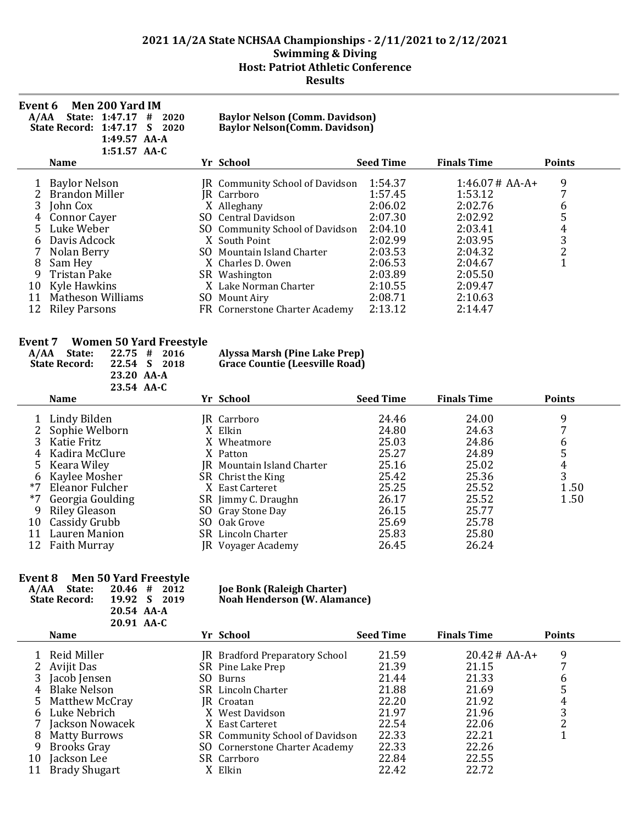| Event 6<br>A/AA | Men 200 Yard IM<br>State: 1:47.17<br>2020<br>#<br>State Record: 1:47.17<br>2020<br>S<br>1:49.57 AA-A<br>$1:51.57$ AA-C |     | <b>Baylor Nelson (Comm. Davidson)</b><br>Baylor Nelson(Comm. Davidson) |                  |                    |                      |
|-----------------|------------------------------------------------------------------------------------------------------------------------|-----|------------------------------------------------------------------------|------------------|--------------------|----------------------|
|                 | <b>Name</b>                                                                                                            |     | Yr School                                                              | <b>Seed Time</b> | <b>Finals Time</b> | <b>Points</b>        |
|                 | <b>Baylor Nelson</b>                                                                                                   |     | JR Community School of Davidson                                        | 1:54.37          | $1:46.07#AA-A+$    | 9                    |
|                 | <b>Brandon Miller</b>                                                                                                  |     | JR Carrboro                                                            | 1:57.45          | 1:53.12            | 7                    |
| 3               | John Cox                                                                                                               |     | X Alleghany                                                            | 2:06.02          | 2:02.76            | 6                    |
|                 | <b>Connor Cayer</b>                                                                                                    | SO. | Central Davidson                                                       | 2:07.30          | 2:02.92            | 5                    |
| 5.              | Luke Weber                                                                                                             |     | SO Community School of Davidson                                        | 2:04.10          | 2:03.41            | 4                    |
|                 | Davis Adcock                                                                                                           |     | X South Point                                                          | 2:02.99          | 2:03.95            | 3                    |
|                 | Nolan Berry                                                                                                            | SO. | Mountain Island Charter                                                | 2:03.53          | 2:04.32            | $\overline{c}$       |
| 8               | Sam Hey                                                                                                                |     | X Charles D. Owen                                                      | 2:06.53          | 2:04.67            | $\blacktriangleleft$ |
| 9               | Tristan Pake                                                                                                           |     | SR Washington                                                          | 2:03.89          | 2:05.50            |                      |
| 10              | Kyle Hawkins                                                                                                           |     | X. Lake Norman Charter                                                 | 2:10.55          | 2:09.47            |                      |
| 11              | <b>Matheson Williams</b>                                                                                               | SO. | Mount Airy                                                             | 2:08.71          | 2:10.63            |                      |
| 12              | <b>Riley Parsons</b>                                                                                                   |     | FR Cornerstone Charter Academy                                         | 2:13.12          | 2:14.47            |                      |

### **Event 7 Women 50 Yard Freestyle**

| A/AA | State:<br><b>State Record:</b> | 22.75<br>#<br>22.54<br><sub>S</sub><br>23.20 AA-A<br>23.54 AA-C | 2016<br>2018 | <b>Alyssa Marsh (Pine Lake Prep)</b><br><b>Grace Countie (Leesville Road)</b> |                  |                    |               |
|------|--------------------------------|-----------------------------------------------------------------|--------------|-------------------------------------------------------------------------------|------------------|--------------------|---------------|
|      | <b>Name</b>                    |                                                                 |              | Yr School                                                                     | <b>Seed Time</b> | <b>Finals Time</b> | <b>Points</b> |
|      | Lindy Bilden                   |                                                                 |              | JR Carrboro                                                                   | 24.46            | 24.00              | 9             |
|      | Sophie Welborn                 |                                                                 |              | X Elkin                                                                       | 24.80            | 24.63              |               |
|      | Katie Fritz                    |                                                                 |              | X Wheatmore                                                                   | 25.03            | 24.86              | 6             |
|      | Kadira McClure                 |                                                                 |              | X Patton                                                                      | 25.27            | 24.89              | 5             |
| 5    | Keara Wiley                    |                                                                 |              | JR Mountain Island Charter                                                    | 25.16            | 25.02              | 4             |
| b    | Kaylee Mosher                  |                                                                 |              | SR Christ the King                                                            | 25.42            | 25.36              | 3             |
| *7   | Eleanor Fulcher                |                                                                 |              | X East Carteret                                                               | 25.25            | 25.52              | 1.50          |
| *7   | Georgia Goulding               |                                                                 |              | SR Jimmy C. Draughn                                                           | 26.17            | 25.52              | 1.50          |
| 9    | <b>Riley Gleason</b>           |                                                                 | SO           | Gray Stone Day                                                                | 26.15            | 25.77              |               |
| 10   | Cassidy Grubb                  |                                                                 | SO.          | Oak Grove                                                                     | 25.69            | 25.78              |               |
| 11   | Lauren Manion                  |                                                                 |              | SR Lincoln Charter                                                            | 25.83            | 25.80              |               |
| 12   | <b>Faith Murray</b>            |                                                                 |              | JR Voyager Academy                                                            | 26.45            | 26.24              |               |

## **Event 8 Men 50 Yard Freestyle**

| A/AA State:          | $20.46$ # 2012 | <b>Joe Bonk (Raleigh Charter)</b>   |
|----------------------|----------------|-------------------------------------|
| <b>State Record:</b> | 19.92 S 2019   | <b>Noah Henderson (W. Alamance)</b> |
|                      | 20.54 AA-A     |                                     |
|                      | 20.91 AA-C     |                                     |

|    | <b>Name</b>          | Yr School                       | <b>Seed Time</b> | <b>Finals Time</b> | <b>Points</b> |
|----|----------------------|---------------------------------|------------------|--------------------|---------------|
|    | Reid Miller          | JR Bradford Preparatory School  | 21.59            | $20.42 \# AA-A+$   | 9             |
|    | Avijit Das           | SR Pine Lake Prep               | 21.39            | 21.15              |               |
|    | Jacob Jensen         | SO Burns                        | 21.44            | 21.33              | b             |
| 4  | <b>Blake Nelson</b>  | SR Lincoln Charter              | 21.88            | 21.69              | 5             |
|    | Matthew McCray       | JR Croatan                      | 22.20            | 21.92              | 4             |
| h. | Luke Nebrich         | X West Davidson                 | 21.97            | 21.96              | 3             |
|    | Jackson Nowacek      | X East Carteret                 | 22.54            | 22.06              |               |
| 8  | <b>Matty Burrows</b> | SR Community School of Davidson | 22.33            | 22.21              |               |
| 9  | <b>Brooks Gray</b>   | SO Cornerstone Charter Academy  | 22.33            | 22.26              |               |
| 10 | Jackson Lee          | SR Carrboro                     | 22.84            | 22.55              |               |
|    | <b>Brady Shugart</b> | X Elkin                         | 22.42            | 22.72              |               |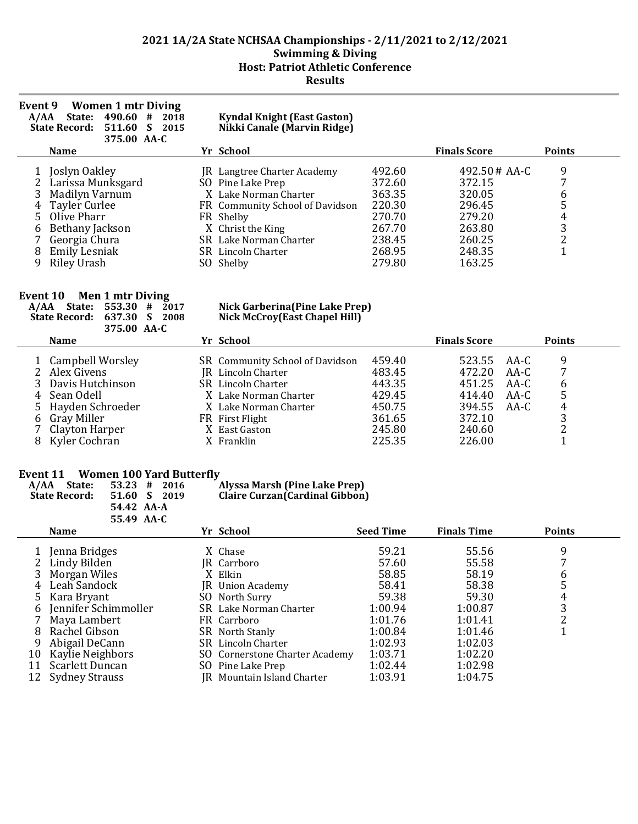| Event 9<br>A/AA | <b>Women 1 mtr Diving</b><br>490.60<br>#<br>State:<br>2018<br><b>State Record:</b><br>511.60<br>S<br>2015<br>375.00 AA-C |    | <b>Kyndal Knight (East Gaston)</b><br>Nikki Canale (Marvin Ridge)                                                                                                         |                                                                    |                                                                              |                            |
|-----------------|--------------------------------------------------------------------------------------------------------------------------|----|---------------------------------------------------------------------------------------------------------------------------------------------------------------------------|--------------------------------------------------------------------|------------------------------------------------------------------------------|----------------------------|
|                 | <b>Name</b>                                                                                                              |    | Yr School                                                                                                                                                                 |                                                                    | <b>Finals Score</b>                                                          | <b>Points</b>              |
| 4<br>6          | Joslyn Oakley<br>Larissa Munksgard<br>Madilyn Varnum<br>Tayler Curlee<br>Olive Pharr<br>Bethany Jackson<br>Georgia Chura |    | JR Langtree Charter Academy<br>SO Pine Lake Prep<br>X. Lake Norman Charter<br>FR Community School of Davidson<br>FR Shelby<br>X Christ the King<br>SR Lake Norman Charter | 492.60<br>372.60<br>363.35<br>220.30<br>270.70<br>267.70<br>238.45 | $492.50 \# AA-C$<br>372.15<br>320.05<br>296.45<br>279.20<br>263.80<br>260.25 | 9<br>7<br>6<br>4<br>3<br>າ |
| 8               | <b>Emily Lesniak</b><br>Riley Urash                                                                                      | SO | SR Lincoln Charter<br>Shelby                                                                                                                                              | 268.95<br>279.80                                                   | 248.35<br>163.25                                                             | 1                          |

### **Event 10 Men 1 mtr Diving**

#### **A/AA State: 553.30 # 2017 Nick Garberina(Pine Lake Prep) State Record: 637.30 S 2008 Nick McCroy(East Chapel Hill)**

| 375.00 AA-C                         |                                                              |                  |                       |      |               |  |
|-------------------------------------|--------------------------------------------------------------|------------------|-----------------------|------|---------------|--|
| <b>Name</b>                         | Yr School                                                    |                  | <b>Finals Score</b>   |      | <b>Points</b> |  |
| 1 Campbell Worsley<br>2 Alex Givens | SR Community School of Davidson<br><b>IR</b> Lincoln Charter | 459.40<br>483.45 | 523.55 AA-C<br>472.20 | AA-C | 9             |  |
| 3 Davis Hutchinson                  | <b>SR</b> Lincoln Charter                                    | 443.35           | 451.25                | AA-C | b             |  |
| 4 Sean Odell                        | X. Lake Norman Charter                                       | 429.45           | 414.40                | AA-C | 5             |  |
| 5 Hayden Schroeder                  | X Lake Norman Charter                                        | 450.75           | 394.55 AA-C           |      | 4             |  |
| 6 Gray Miller                       | FR First Flight                                              | 361.65           | 372.10                |      | 3             |  |
| 7 Clayton Harper                    | X East Gaston                                                | 245.80           | 240.60                |      | っ             |  |
| 8 Kyler Cochran                     | X Franklin                                                   | 225.35           | 226.00                |      |               |  |

### **Event 11 Women 100 Yard Butterfly**

| A/AA<br>State:<br><b>State Record:</b> | $53.23 \quad # \quad 2016$<br>51.60 S 2019 | Alyssa Marsh (Pine Lake Prep)<br><b>Claire Curzan (Cardinal Gibbon)</b> |
|----------------------------------------|--------------------------------------------|-------------------------------------------------------------------------|
|                                        | 54.42 AA-A                                 |                                                                         |
|                                        | 55.49 AA-C                                 |                                                                         |

|              | <b>Name</b>                                                                                 | Yr School                                                                                                                  | <b>Seed Time</b>                                    | <b>Finals Time</b>                                  | <b>Points</b> |
|--------------|---------------------------------------------------------------------------------------------|----------------------------------------------------------------------------------------------------------------------------|-----------------------------------------------------|-----------------------------------------------------|---------------|
|              | Jenna Bridges<br>Lindy Bilden<br>Morgan Wiles<br>Leah Sandock                               | X Chase<br>JR Carrboro<br>X Elkin<br>JR Union Academy                                                                      | 59.21<br>57.60<br>58.85<br>58.41                    | 55.56<br>55.58<br>58.19<br>58.38                    | 9<br>6        |
| 6            | Kara Bryant<br>Jennifer Schimmoller                                                         | SO North Surry<br>SR Lake Norman Charter                                                                                   | 59.38<br>1:00.94                                    | 59.30<br>1:00.87                                    | 4<br>3        |
|              | Maya Lambert                                                                                | FR Carrboro                                                                                                                | 1:01.76                                             | 1:01.41                                             | າ             |
| 8<br>9<br>10 | Rachel Gibson<br>Abigail DeCann<br>Kaylie Neighbors<br>Scarlett Duncan<br>12 Sydney Strauss | SR North Stanly<br>SR Lincoln Charter<br>SO Cornerstone Charter Academy<br>SO Pine Lake Prep<br>JR Mountain Island Charter | 1:00.84<br>1:02.93<br>1:03.71<br>1:02.44<br>1:03.91 | 1:01.46<br>1:02.03<br>1:02.20<br>1:02.98<br>1:04.75 |               |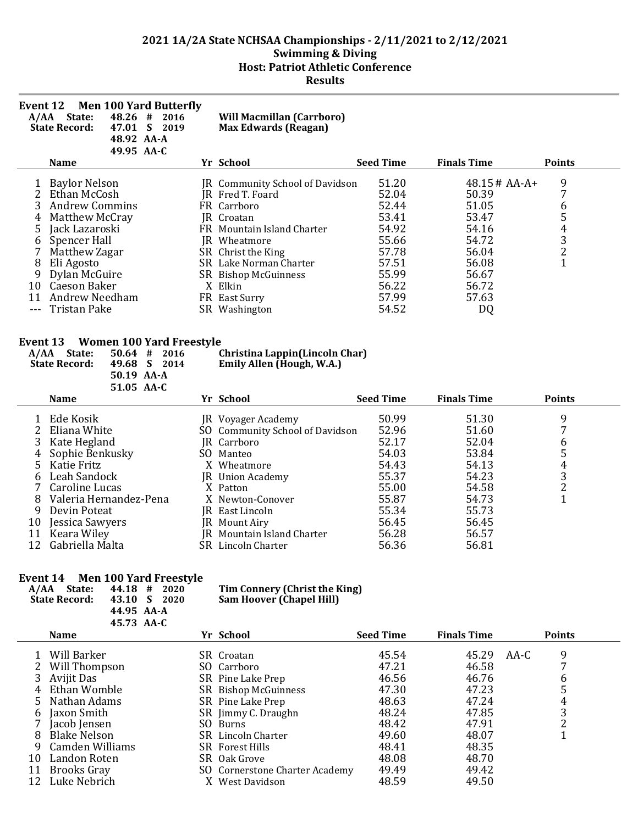| Event 12 | A/AA State:<br>48.26#<br><b>State Record:</b>               | <b>Men 100 Yard Butterfly</b><br>2016<br>47.01 S 2019<br>48.92 AA-A<br>49.95 AA-C |     | <b>Will Macmillan (Carrboro)</b><br><b>Max Edwards (Reagan)</b>          |                  |                    |                                                 |
|----------|-------------------------------------------------------------|-----------------------------------------------------------------------------------|-----|--------------------------------------------------------------------------|------------------|--------------------|-------------------------------------------------|
|          | <b>Name</b>                                                 |                                                                                   |     | Yr School                                                                | <b>Seed Time</b> | <b>Finals Time</b> | <b>Points</b>                                   |
| 1        | <b>Baylor Nelson</b>                                        |                                                                                   |     | JR Community School of Davidson                                          | 51.20            | 48.15 # AA-A+      | 9                                               |
| 2        | Ethan McCosh                                                |                                                                                   |     | JR Fred T. Foard                                                         | 52.04            | 50.39              | 7                                               |
| 3        | <b>Andrew Commins</b>                                       |                                                                                   |     | FR Carrboro                                                              | 52.44            | 51.05              | $\begin{array}{c} 6 \\ 5 \end{array}$           |
| 4        | Matthew McCray                                              |                                                                                   |     | IR Croatan                                                               | 53.41            | 53.47              |                                                 |
| 5        | Jack Lazaroski                                              |                                                                                   |     | FR Mountain Island Charter                                               | 54.92            | 54.16              | $\begin{array}{c} 4 \\ 3 \\ 2 \\ 1 \end{array}$ |
| 6        | Spencer Hall                                                |                                                                                   |     | JR Wheatmore                                                             | 55.66            | 54.72              |                                                 |
| 7        | Matthew Zagar                                               |                                                                                   |     | SR Christ the King                                                       | 57.78            | 56.04              |                                                 |
| 8        | Eli Agosto                                                  |                                                                                   |     | SR Lake Norman Charter                                                   | 57.51            | 56.08              |                                                 |
| 9        | Dylan McGuire                                               |                                                                                   |     | SR Bishop McGuinness                                                     | 55.99            | 56.67              |                                                 |
| 10       | Caeson Baker                                                |                                                                                   |     | X Elkin                                                                  | 56.22            | 56.72              |                                                 |
| 11       | <b>Andrew Needham</b>                                       |                                                                                   |     | FR East Surry                                                            | 57.99            | 57.63              |                                                 |
|          | <b>Tristan Pake</b>                                         |                                                                                   |     | SR Washington                                                            | 54.52            | DQ                 |                                                 |
| Event 13 | A/AA State:<br>$50.64$ #<br>49.68 S<br><b>State Record:</b> | <b>Women 100 Yard Freestyle</b><br>2016<br>2014<br>50.19 AA-A<br>51.05 AA-C       |     | Christina Lappin(Lincoln Char)<br>Emily Allen (Hough, W.A.)<br>Yr School | <b>Seed Time</b> | <b>Finals Time</b> |                                                 |
|          | <b>Name</b>                                                 |                                                                                   |     |                                                                          |                  |                    | <b>Points</b>                                   |
|          | Ede Kosik                                                   |                                                                                   |     | JR Voyager Academy                                                       | 50.99            | 51.30              | 9                                               |
| 2        | Eliana White                                                |                                                                                   | SO. | <b>Community School of Davidson</b>                                      | 52.96            | 51.60              | 7                                               |
| 3        | Kate Hegland                                                |                                                                                   |     | JR Carrboro                                                              | 52.17            | 52.04              | 6                                               |
| 4        | Sophie Benkusky                                             |                                                                                   |     | SO Manteo                                                                | 54.03            | 53.84              | 5                                               |
| 5        | Katie Fritz                                                 |                                                                                   |     | X Wheatmore                                                              | 54.43            | 54.13              | $\overline{\mathbf{4}}$                         |
| 6        | Leah Sandock                                                |                                                                                   |     | JR Union Academy                                                         | 55.37            | 54.23              | 3                                               |
|          |                                                             |                                                                                   |     |                                                                          |                  |                    | $\sim$                                          |

| 7 Caroline Lucas         | X Patton                   | 55.00 | 54.58 |  |
|--------------------------|----------------------------|-------|-------|--|
| 8 Valeria Hernandez-Pena | X Newton-Conover           | 55.87 | 54.73 |  |
| 9 Devin Poteat           | JR East Lincoln            | 55.34 | 55.73 |  |
| 10 Jessica Sawyers       | <b>IR</b> Mount Airy       | 56.45 | 56.45 |  |
| 11 Keara Wiley           | JR Mountain Island Charter | 56.28 | 56.57 |  |
| 12 Gabriella Malta       | <b>SR</b> Lincoln Charter  | 56.36 | 56.81 |  |

## **Event 14 Men 100 Yard Freestyle**

| Event 14<br>A/AA | Men 100 Yard Freestyle<br>State:<br><b>State Record:</b><br>43.10 | 44.18 #<br>2020<br>S<br>2020<br>44.95 AA-A<br>45.73 AA-C |     | Tim Connery (Christ the King)<br><b>Sam Hoover (Chapel Hill)</b> |                  |                    |      |               |  |
|------------------|-------------------------------------------------------------------|----------------------------------------------------------|-----|------------------------------------------------------------------|------------------|--------------------|------|---------------|--|
|                  | <b>Name</b>                                                       |                                                          |     | Yr School                                                        | <b>Seed Time</b> | <b>Finals Time</b> |      | <b>Points</b> |  |
|                  | Will Barker                                                       |                                                          |     | SR Croatan                                                       | 45.54            | 45.29              | AA-C | 9             |  |
|                  | Will Thompson                                                     |                                                          |     | SO Carrboro                                                      | 47.21            | 46.58              |      | 7             |  |
|                  | Avijit Das                                                        |                                                          |     | SR Pine Lake Prep                                                | 46.56            | 46.76              |      | 6             |  |
|                  | Ethan Womble                                                      |                                                          |     | SR Bishop McGuinness                                             | 47.30            | 47.23              |      | 5             |  |
|                  | Nathan Adams                                                      |                                                          |     | SR Pine Lake Prep                                                | 48.63            | 47.24              |      | 4             |  |
| 6                | Jaxon Smith                                                       |                                                          |     | SR Jimmy C. Draughn                                              | 48.24            | 47.85              |      | 3             |  |
|                  | Jacob Jensen                                                      |                                                          | SO. | <b>Burns</b>                                                     | 48.42            | 47.91              |      | 2             |  |
| 8                | <b>Blake Nelson</b>                                               |                                                          |     | SR Lincoln Charter                                               | 49.60            | 48.07              |      | 1             |  |
| 9                | Camden Williams                                                   |                                                          |     | <b>SR</b> Forest Hills                                           | 48.41            | 48.35              |      |               |  |
| 10               | Landon Roten                                                      |                                                          |     | SR Oak Grove                                                     | 48.08            | 48.70              |      |               |  |
| 11               | <b>Brooks Gray</b>                                                |                                                          |     | SO Cornerstone Charter Academy                                   | 49.49            | 49.42              |      |               |  |
| 12               | Luke Nebrich                                                      |                                                          |     | <b>West Davidson</b>                                             | 48.59            | 49.50              |      |               |  |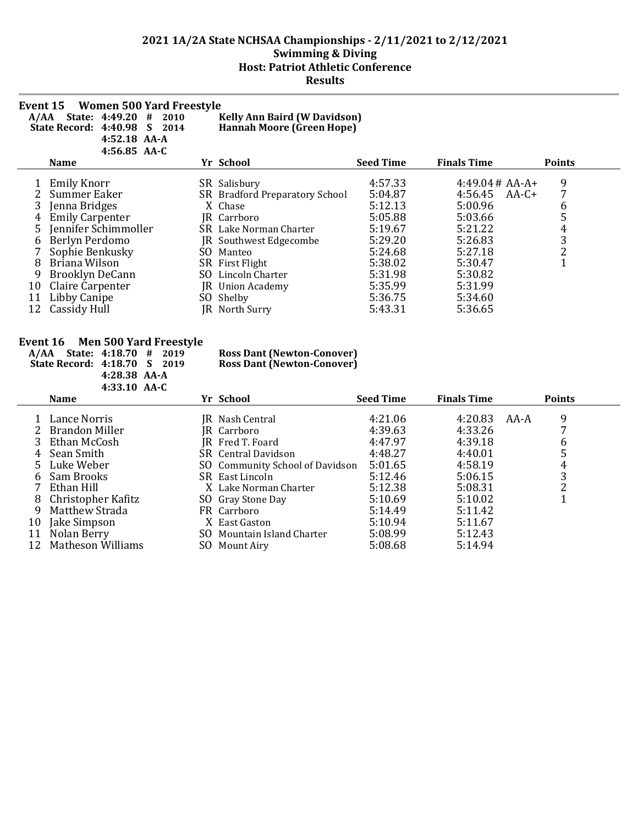| Event 15 | <b>Women 500 Yard Freestyle</b><br>A/AA State: 4:49.20 #<br>2010<br><sub>S</sub><br>State Record: 4:40.98<br>2014<br>4:52.18 AA-A<br>4:56.85 AA-C | <b>Kelly Ann Baird (W Davidson)</b><br><b>Hannah Moore (Green Hope)</b> |                  |                    |                         |
|----------|---------------------------------------------------------------------------------------------------------------------------------------------------|-------------------------------------------------------------------------|------------------|--------------------|-------------------------|
|          | <b>Name</b>                                                                                                                                       | Yr School                                                               | <b>Seed Time</b> | <b>Finals Time</b> | <b>Points</b>           |
|          | Emily Knorr                                                                                                                                       | SR Salisbury                                                            | 4:57.33          | $4:49.04 \# AA-A+$ | 9                       |
|          | Summer Eaker                                                                                                                                      | SR Bradford Preparatory School                                          | 5:04.87          | 4:56.45<br>$AA-C+$ | 7                       |
| 3        | Jenna Bridges                                                                                                                                     | X Chase                                                                 | 5:12.13          | 5:00.96            | 6                       |
| 4        | <b>Emily Carpenter</b>                                                                                                                            | JR Carrboro                                                             | 5:05.88          | 5:03.66            | 5                       |
| 5        | Jennifer Schimmoller                                                                                                                              | SR Lake Norman Charter                                                  | 5:19.67          | 5:21.22            | $\overline{\mathbf{4}}$ |
| 6        | Berlyn Perdomo                                                                                                                                    | JR Southwest Edgecombe                                                  | 5:29.20          | 5:26.83            | 3                       |
|          | Sophie Benkusky                                                                                                                                   | SO Manteo                                                               | 5:24.68          | 5:27.18            | $\overline{c}$          |
| 8        | Briana Wilson                                                                                                                                     | SR First Flight                                                         | 5:38.02          | 5:30.47            | $\overline{1}$          |
| 9        | Brooklyn DeCann                                                                                                                                   | SO Lincoln Charter                                                      | 5:31.98          | 5:30.82            |                         |
| 10       | Claire Carpenter                                                                                                                                  | JR Union Academy                                                        | 5:35.99          | 5:31.99            |                         |
| 11       | Libby Canipe                                                                                                                                      | SO Shelby                                                               | 5:36.75          | 5:34.60            |                         |
| 12       | Cassidy Hull                                                                                                                                      | JR North Surry                                                          | 5:43.31          | 5:36.65            |                         |
| Event 16 | <b>Men 500 Yard Freestyle</b><br>A/AA State: 4:18.70 #<br>2019<br>State Record: 4:18.70<br>S<br>2019                                              | <b>Ross Dant (Newton-Conover)</b><br><b>Ross Dant (Newton-Conover)</b>  |                  |                    |                         |

|    | $4:33.10$ AA-C     |                                 |                  |                    |      |               |  |
|----|--------------------|---------------------------------|------------------|--------------------|------|---------------|--|
|    | <b>Name</b>        | Yr School                       | <b>Seed Time</b> | <b>Finals Time</b> |      | <b>Points</b> |  |
|    | Lance Norris       | JR Nash Central                 | 4:21.06          | 4:20.83            | AA-A | 9             |  |
|    | 2 Brandon Miller   | IR Carrboro                     | 4:39.63          | 4:33.26            |      |               |  |
|    | 3 Ethan McCosh     | JR Fred T. Foard                | 4:47.97          | 4:39.18            |      | 6             |  |
| 4  | Sean Smith         | SR Central Davidson             | 4:48.27          | 4:40.01            |      | 5             |  |
|    | 5 Luke Weber       | SO Community School of Davidson | 5:01.65          | 4:58.19            |      | 4             |  |
| 6  | Sam Brooks         | SR East Lincoln                 | 5:12.46          | 5:06.15            |      | 3             |  |
|    | 7 Ethan Hill       | X. Lake Norman Charter          | 5:12.38          | 5:08.31            |      | າ             |  |
| 8  | Christopher Kafitz | SO Gray Stone Day               | 5:10.69          | 5:10.02            |      |               |  |
| 9  | Matthew Strada     | FR Carrboro                     | 5:14.49          | 5:11.42            |      |               |  |
| 10 | Jake Simpson       | X East Gaston                   | 5:10.94          | 5:11.67            |      |               |  |
| 11 | Nolan Berry        | SO Mountain Island Charter      | 5:08.99          | 5:12.43            |      |               |  |
| 12 | Matheson Williams  | SO Mount Airy                   | 5:08.68          | 5:14.94            |      |               |  |

**4:28.38 AA-A**

 $\overline{a}$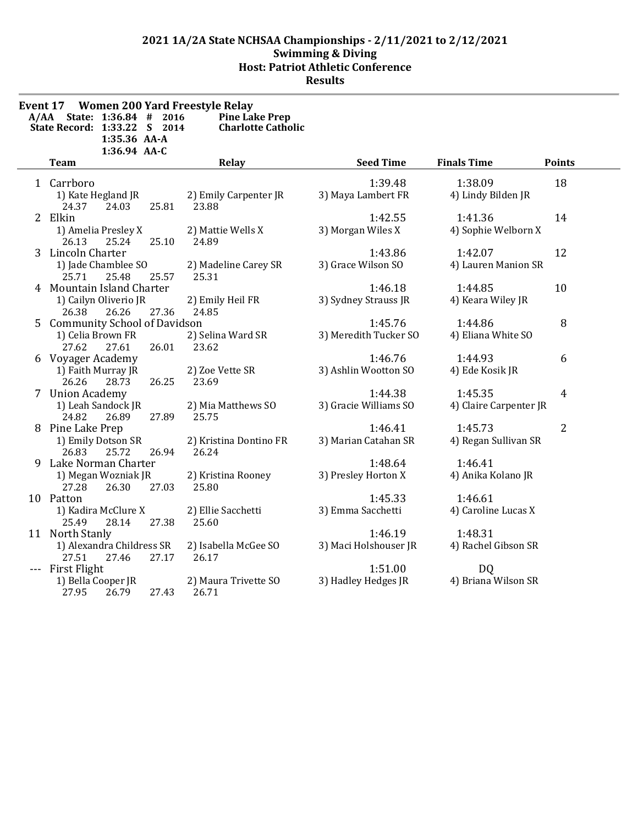| A/AA | Event 17 Women 200 Yard Freestyle Relay<br>State: 1:36.84 #<br>2016<br>State Record: 1:33.22 S 2014 | <b>Pine Lake Prep</b><br><b>Charlotte Catholic</b> |                       |                        |               |
|------|-----------------------------------------------------------------------------------------------------|----------------------------------------------------|-----------------------|------------------------|---------------|
|      | 1:35.36 AA-A                                                                                        |                                                    |                       |                        |               |
|      | 1:36.94 AA-C<br><b>Team</b>                                                                         | Relay                                              | <b>Seed Time</b>      | <b>Finals Time</b>     | <b>Points</b> |
|      | 1 Carrboro                                                                                          |                                                    | 1:39.48               | 1:38.09                | 18            |
|      | 1) Kate Hegland JR                                                                                  | 2) Emily Carpenter JR                              | 3) Maya Lambert FR    | 4) Lindy Bilden JR     |               |
|      | 25.81<br>24.37<br>24.03                                                                             | 23.88                                              |                       |                        |               |
|      | 2 Elkin                                                                                             |                                                    | 1:42.55               | 1:41.36                | 14            |
|      | 1) Amelia Presley X                                                                                 | 2) Mattie Wells X                                  | 3) Morgan Wiles X     | 4) Sophie Welborn X    |               |
|      | 26.13<br>25.24<br>25.10                                                                             | 24.89                                              |                       |                        |               |
|      | 3 Lincoln Charter                                                                                   |                                                    | 1:43.86               | 1:42.07                | 12            |
|      | 1) Jade Chamblee SO                                                                                 | 2) Madeline Carey SR                               | 3) Grace Wilson SO    | 4) Lauren Manion SR    |               |
|      | 25.71<br>25.48<br>25.57                                                                             | 25.31                                              |                       |                        |               |
|      | 4 Mountain Island Charter                                                                           |                                                    | 1:46.18               | 1:44.85                | 10            |
|      | 1) Cailyn Oliverio JR                                                                               | 2) Emily Heil FR                                   | 3) Sydney Strauss JR  | 4) Keara Wiley JR      |               |
|      | 27.36<br>26.26<br>26.38                                                                             | 24.85                                              |                       |                        |               |
|      | 5 Community School of Davidson                                                                      |                                                    | 1:45.76               | 1:44.86                | 8             |
|      | 1) Celia Brown FR                                                                                   | 2) Selina Ward SR                                  | 3) Meredith Tucker SO | 4) Eliana White SO     |               |
|      | 27.62<br>27.61<br>26.01                                                                             | 23.62                                              |                       |                        |               |
|      | 6 Voyager Academy                                                                                   |                                                    | 1:46.76               | 1:44.93                | 6             |
|      | 1) Faith Murray JR<br>26.25                                                                         | 2) Zoe Vette SR                                    | 3) Ashlin Wootton SO  | 4) Ede Kosik JR        |               |
|      | 26.26<br>28.73<br>7 Union Academy                                                                   | 23.69                                              | 1:44.38               | 1:45.35                | 4             |
|      | 1) Leah Sandock JR                                                                                  | 2) Mia Matthews SO                                 | 3) Gracie Williams SO | 4) Claire Carpenter JR |               |
|      | 27.89<br>24.82<br>26.89                                                                             | 25.75                                              |                       |                        |               |
|      | 8 Pine Lake Prep                                                                                    |                                                    | 1:46.41               | 1:45.73                | 2             |
|      | 1) Emily Dotson SR                                                                                  | 2) Kristina Dontino FR                             | 3) Marian Catahan SR  | 4) Regan Sullivan SR   |               |
|      | 26.83<br>25.72<br>26.94                                                                             | 26.24                                              |                       |                        |               |
|      | 9 Lake Norman Charter                                                                               |                                                    | 1:48.64               | 1:46.41                |               |
|      | 1) Megan Wozniak JR                                                                                 | 2) Kristina Rooney                                 | 3) Presley Horton X   | 4) Anika Kolano JR     |               |
|      | 26.30<br>27.03<br>27.28                                                                             | 25.80                                              |                       |                        |               |
|      | 10 Patton                                                                                           |                                                    | 1:45.33               | 1:46.61                |               |
|      | 1) Kadira McClure X                                                                                 | 2) Ellie Sacchetti                                 | 3) Emma Sacchetti     | 4) Caroline Lucas X    |               |
|      | 25.49<br>28.14<br>27.38                                                                             | 25.60                                              |                       |                        |               |
|      | 11 North Stanly                                                                                     |                                                    | 1:46.19               | 1:48.31                |               |
|      | 1) Alexandra Childress SR                                                                           | 2) Isabella McGee SO                               | 3) Maci Holshouser JR | 4) Rachel Gibson SR    |               |
|      | 27.51<br>27.17<br>27.46                                                                             | 26.17                                              |                       |                        |               |
|      | First Flight                                                                                        |                                                    | 1:51.00               | DQ                     |               |
|      | 1) Bella Cooper JR                                                                                  | 2) Maura Trivette SO                               | 3) Hadley Hedges JR   | 4) Briana Wilson SR    |               |
|      | 27.95<br>27.43<br>26.79                                                                             | 26.71                                              |                       |                        |               |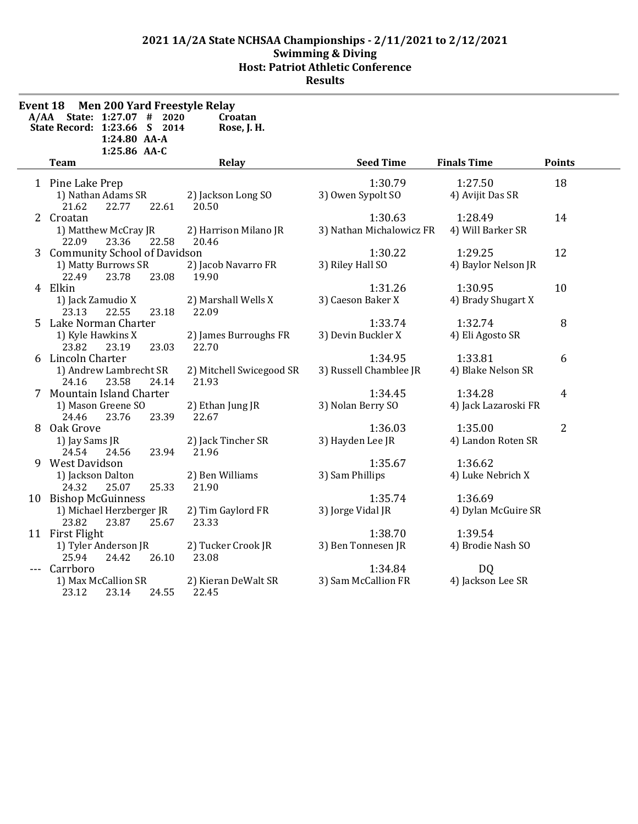$\overline{a}$ 

| Event 18 | <b>Men 200 Yard Freestyle Relay</b><br>A/AA State: 1:27.07 # 2020<br>State Record: 1:23.66 S 2014<br>1:24.80 AA-A<br>1:25.86 AA-C | Croatan<br>Rose, J. H.            |                                     |                                 |                |
|----------|-----------------------------------------------------------------------------------------------------------------------------------|-----------------------------------|-------------------------------------|---------------------------------|----------------|
|          | <b>Team</b>                                                                                                                       | Relay                             | <b>Seed Time</b>                    | <b>Finals Time</b>              | <b>Points</b>  |
|          | 1 Pine Lake Prep<br>1) Nathan Adams SR<br>21.62<br>22.77<br>22.61                                                                 | 2) Jackson Long SO<br>20.50       | 1:30.79<br>3) Owen Sypolt SO        | 1:27.50<br>4) Avijit Das SR     | 18             |
|          | 2 Croatan<br>1) Matthew McCray JR<br>22.09<br>23.36<br>22.58                                                                      | 2) Harrison Milano JR<br>20.46    | 1:30.63<br>3) Nathan Michalowicz FR | 1:28.49<br>4) Will Barker SR    | 14             |
|          | 3 Community School of Davidson<br>1) Matty Burrows SR<br>22.49<br>23.78<br>23.08                                                  | 2) Jacob Navarro FR<br>19.90      | 1:30.22<br>3) Riley Hall SO         | 1:29.25<br>4) Baylor Nelson JR  | 12             |
|          | 4 Elkin<br>1) Jack Zamudio X<br>23.13<br>22.55<br>23.18                                                                           | 2) Marshall Wells X<br>22.09      | 1:31.26<br>3) Caeson Baker X        | 1:30.95<br>4) Brady Shugart X   | 10             |
|          | 5 Lake Norman Charter<br>1) Kyle Hawkins X<br>23.03<br>23.82<br>23.19                                                             | 2) James Burroughs FR<br>22.70    | 1:33.74<br>3) Devin Buckler X       | 1:32.74<br>4) Eli Agosto SR     | 8              |
|          | 6 Lincoln Charter<br>1) Andrew Lambrecht SR<br>24.16<br>23.58<br>24.14                                                            | 2) Mitchell Swicegood SR<br>21.93 | 1:34.95<br>3) Russell Chamblee JR   | 1:33.81<br>4) Blake Nelson SR   | 6              |
|          | 7 Mountain Island Charter<br>1) Mason Greene SO<br>24.46<br>23.76<br>23.39                                                        | 2) Ethan Jung JR<br>22.67         | 1:34.45<br>3) Nolan Berry SO        | 1:34.28<br>4) Jack Lazaroski FR | 4              |
| 8.       | Oak Grove<br>1) Jay Sams JR<br>23.94<br>24.54<br>24.56                                                                            | 2) Jack Tincher SR<br>21.96       | 1:36.03<br>3) Hayden Lee JR         | 1:35.00<br>4) Landon Roten SR   | $\overline{2}$ |
|          | 9 West Davidson<br>1) Jackson Dalton<br>24.32<br>25.07<br>25.33                                                                   | 2) Ben Williams<br>21.90          | 1:35.67<br>3) Sam Phillips          | 1:36.62<br>4) Luke Nebrich X    |                |
|          | 10 Bishop McGuinness<br>1) Michael Herzberger JR<br>23.82<br>23.87<br>25.67                                                       | 2) Tim Gaylord FR<br>23.33        | 1:35.74<br>3) Jorge Vidal JR        | 1:36.69<br>4) Dylan McGuire SR  |                |
|          | 11 First Flight<br>1) Tyler Anderson JR<br>25.94<br>26.10<br>24.42                                                                | 2) Tucker Crook JR<br>23.08       | 1:38.70<br>3) Ben Tonnesen JR       | 1:39.54<br>4) Brodie Nash SO    |                |
|          | Carrboro<br>1) Max McCallion SR<br>24.55<br>23.12<br>23.14                                                                        | 2) Kieran DeWalt SR<br>22.45      | 1:34.84<br>3) Sam McCallion FR      | <b>DQ</b><br>4) Jackson Lee SR  |                |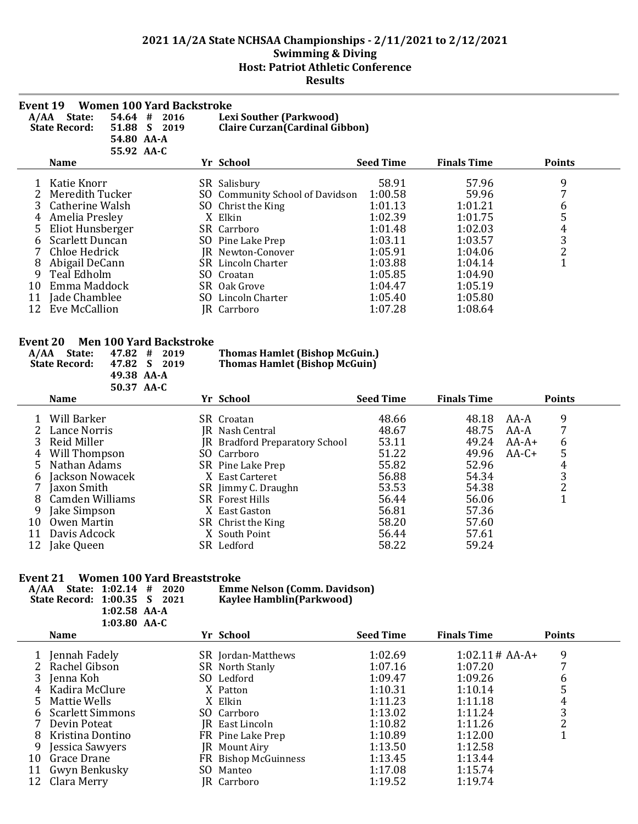| Event 19 | <b>Women 100 Yard Backstroke</b><br>54.64<br>A/AA State:<br>#<br>2016<br><b>State Record:</b><br>51.88<br>$\mathbf{S}$<br>2019<br>54.80 AA-A<br>55.92 AA-C |     | <b>Lexi Souther (Parkwood)</b><br>Claire Curzan (Cardinal Gibbon) |                  |                    |                |  |
|----------|------------------------------------------------------------------------------------------------------------------------------------------------------------|-----|-------------------------------------------------------------------|------------------|--------------------|----------------|--|
|          | <b>Name</b>                                                                                                                                                |     | Yr School                                                         | <b>Seed Time</b> | <b>Finals Time</b> | <b>Points</b>  |  |
|          | Katie Knorr                                                                                                                                                |     | SR Salisbury                                                      | 58.91            | 57.96              | 9              |  |
|          | Meredith Tucker                                                                                                                                            | SO. | Community School of Davidson                                      | 1:00.58          | 59.96              | 7              |  |
|          | Catherine Walsh                                                                                                                                            |     | SO Christ the King                                                | 1:01.13          | 1:01.21            | 6              |  |
|          | Amelia Presley                                                                                                                                             |     | X Elkin                                                           | 1:02.39          | 1:01.75            | 5              |  |
|          | Eliot Hunsberger                                                                                                                                           |     | SR Carrboro                                                       | 1:01.48          | 1:02.03            | 4              |  |
| 6        | Scarlett Duncan                                                                                                                                            |     | SO Pine Lake Prep                                                 | 1:03.11          | 1:03.57            | 3              |  |
|          | Chloe Hedrick                                                                                                                                              | IR. | Newton-Conover                                                    | 1:05.91          | 1:04.06            | $\overline{c}$ |  |
| 8        | Abigail DeCann                                                                                                                                             |     | SR Lincoln Charter                                                | 1:03.88          | 1:04.14            | $\mathbf{1}$   |  |
| 9        | Teal Edholm                                                                                                                                                | SO. | Croatan                                                           | 1:05.85          | 1:04.90            |                |  |
| 10       | Emma Maddock                                                                                                                                               | SR. | Oak Grove                                                         | 1:04.47          | 1:05.19            |                |  |
| 11       | Jade Chamblee                                                                                                                                              |     | SO Lincoln Charter                                                | 1:05.40          | 1:05.80            |                |  |
| 12       | Eve McCallion                                                                                                                                              | IR. | Carrboro                                                          | 1:07.28          | 1:08.64            |                |  |
|          |                                                                                                                                                            |     |                                                                   |                  |                    |                |  |

### **Event 20 Men 100 Yard Backstroke**

| A/AA | State:<br><b>State Record:</b><br>47.82 | MEN TOO TATU DACKSU OKC<br>$47.82 \quad #$<br><b>Thomas Hamlet (Bishop McGuin.)</b><br>2019<br><b>Thomas Hamlet (Bishop McGuin)</b><br>S.<br>2019<br>49.38 AA-A |  |  |                                |                  |                    |         |               |  |
|------|-----------------------------------------|-----------------------------------------------------------------------------------------------------------------------------------------------------------------|--|--|--------------------------------|------------------|--------------------|---------|---------------|--|
|      | Name                                    | 50.37 AA-C                                                                                                                                                      |  |  | Yr School                      | <b>Seed Time</b> | <b>Finals Time</b> |         | <b>Points</b> |  |
|      |                                         |                                                                                                                                                                 |  |  |                                |                  |                    |         |               |  |
|      | Will Barker                             |                                                                                                                                                                 |  |  | SR Croatan                     | 48.66            | 48.18              | AA-A    | 9             |  |
|      | Lance Norris                            |                                                                                                                                                                 |  |  | JR Nash Central                | 48.67            | 48.75              | AA-A    | 7             |  |
|      | Reid Miller                             |                                                                                                                                                                 |  |  | JR Bradford Preparatory School | 53.11            | 49.24              | $AA-A+$ | 6             |  |
| 4    | Will Thompson                           |                                                                                                                                                                 |  |  | SO Carrboro                    | 51.22            | 49.96              | $AA-C+$ | 5             |  |
|      | Nathan Adams                            |                                                                                                                                                                 |  |  | SR Pine Lake Prep              | 55.82            | 52.96              |         | 4             |  |
| h.   | Jackson Nowacek                         |                                                                                                                                                                 |  |  | X East Carteret                | 56.88            | 54.34              |         | 3             |  |
|      | Jaxon Smith                             |                                                                                                                                                                 |  |  | SR Jimmy C. Draughn            | 53.53            | 54.38              |         | っ             |  |
| 8    | Camden Williams                         |                                                                                                                                                                 |  |  | <b>SR</b> Forest Hills         | 56.44            | 56.06              |         |               |  |
|      | Jake Simpson                            |                                                                                                                                                                 |  |  | X East Gaston                  | 56.81            | 57.36              |         |               |  |
| 10   | Owen Martin                             |                                                                                                                                                                 |  |  | SR Christ the King             | 58.20            | 57.60              |         |               |  |
| 11   | Davis Adcock                            |                                                                                                                                                                 |  |  | X South Point                  | 56.44            | 57.61              |         |               |  |
| 12   | Jake Queen                              |                                                                                                                                                                 |  |  | SR Ledford                     | 58.22            | 59.24              |         |               |  |

| Event 21 | <b>Women 100 Yard Breaststroke</b><br>A/AA State: 1:02.14 #<br>2020<br>State Record: 1:00.35 S<br>2021<br>$1:02.58$ AA-A<br>$1:03.80$ AA-C | <b>Emme Nelson (Comm. Davidson)</b><br>Kaylee Hamblin(Parkwood) |                  |                    |                |
|----------|--------------------------------------------------------------------------------------------------------------------------------------------|-----------------------------------------------------------------|------------------|--------------------|----------------|
|          | <b>Name</b>                                                                                                                                | Yr School                                                       | <b>Seed Time</b> | <b>Finals Time</b> | <b>Points</b>  |
|          | Jennah Fadely                                                                                                                              | SR Jordan-Matthews                                              | 1:02.69          | $1:02.11 \# AA-A+$ | 9              |
|          | Rachel Gibson                                                                                                                              | <b>SR</b> North Stanly                                          | 1:07.16          | 1:07.20            | 7              |
|          | Jenna Koh                                                                                                                                  | SO Ledford                                                      | 1:09.47          | 1:09.26            | 6              |
|          | Kadira McClure                                                                                                                             | X Patton                                                        | 1:10.31          | 1:10.14            | 5              |
| 5        | Mattie Wells                                                                                                                               | X Elkin                                                         | 1:11.23          | 1:11.18            | 4              |
|          | <b>Scarlett Simmons</b>                                                                                                                    | SO Carrboro                                                     | 1:13.02          | 1:11.24            | 3              |
|          | Devin Poteat                                                                                                                               | JR East Lincoln                                                 | 1:10.82          | 1:11.26            | $\overline{2}$ |
| 8        | Kristina Dontino                                                                                                                           | FR Pine Lake Prep                                               | 1:10.89          | 1:12.00            |                |
| 9        | Jessica Sawyers                                                                                                                            | JR Mount Airy                                                   | 1:13.50          | 1:12.58            |                |
| 10       | Grace Drane                                                                                                                                | FR Bishop McGuinness                                            | 1:13.45          | 1:13.44            |                |
|          | Gwyn Benkusky                                                                                                                              | SO Manteo                                                       | 1:17.08          | 1:15.74            |                |
| 12       | Clara Merry                                                                                                                                | JR Carrboro                                                     | 1:19.52          | 1:19.74            |                |
|          |                                                                                                                                            |                                                                 |                  |                    |                |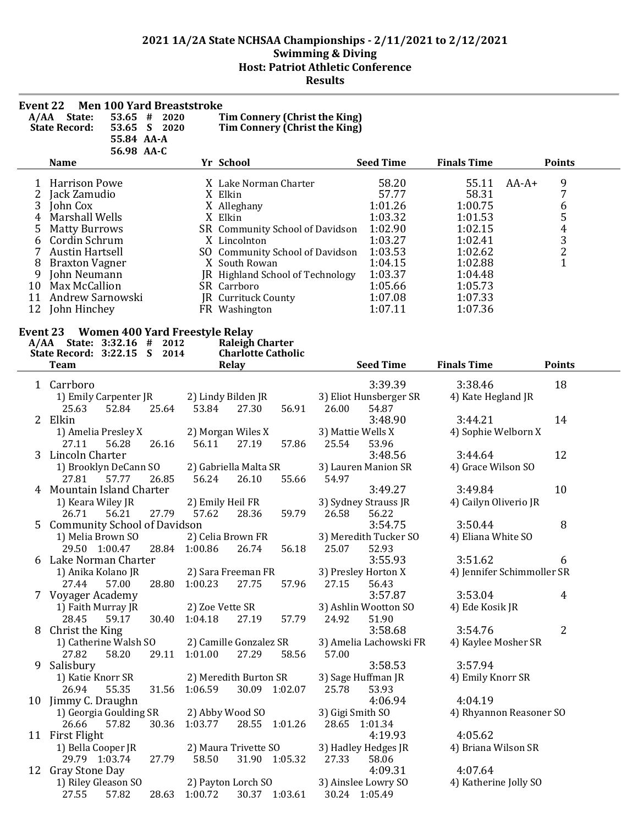| Event 22 | A/AA State:<br><b>State Record:</b>                        | 55.84 AA-A<br>56.98 AA-C | <b>Men 100 Yard Breaststroke</b><br>$53.65$ # 2020<br>53.65 S 2020 |               | Tim Connery (Christ the King)<br>Tim Connery (Christ the King) |       |                  |                                 |                            |         |               |
|----------|------------------------------------------------------------|--------------------------|--------------------------------------------------------------------|---------------|----------------------------------------------------------------|-------|------------------|---------------------------------|----------------------------|---------|---------------|
|          | <b>Name</b>                                                |                          |                                                                    |               | Yr School                                                      |       |                  | <b>Seed Time</b>                | <b>Finals Time</b>         |         | <b>Points</b> |
| 1        | <b>Harrison Powe</b>                                       |                          |                                                                    |               | X Lake Norman Charter                                          |       |                  | 58.20                           | 55.11                      | $AA-A+$ | 9             |
| 2        | Jack Zamudio                                               |                          |                                                                    |               | X Elkin                                                        |       |                  | 57.77                           | 58.31                      |         | 7             |
| 3        | John Cox                                                   |                          |                                                                    |               | X Alleghany                                                    |       |                  | 1:01.26                         | 1:00.75                    |         |               |
| 4        | Marshall Wells                                             |                          |                                                                    |               | X Elkin                                                        |       |                  | 1:03.32                         | 1:01.53                    |         |               |
| 5        | <b>Matty Burrows</b>                                       |                          |                                                                    |               | SR Community School of Davidson                                |       |                  | 1:02.90                         | 1:02.15                    |         |               |
| 6        | Cordin Schrum                                              |                          |                                                                    |               | X Lincolnton                                                   |       |                  | 1:03.27                         | 1:02.41                    |         |               |
| 7        | <b>Austin Hartsell</b>                                     |                          |                                                                    |               | SO Community School of Davidson                                |       |                  | 1:03.53                         | 1:02.62                    |         | 654321        |
| 8        | <b>Braxton Vagner</b>                                      |                          |                                                                    |               | X South Rowan                                                  |       |                  | 1:04.15                         | 1:02.88                    |         |               |
| 9<br>10  | John Neumann<br>Max McCallion                              |                          |                                                                    |               | JR Highland School of Technology<br>SR Carrboro                |       |                  | 1:03.37<br>1:05.66              | 1:04.48<br>1:05.73         |         |               |
| 11       | Andrew Sarnowski                                           |                          |                                                                    |               | JR Currituck County                                            |       |                  | 1:07.08                         | 1:07.33                    |         |               |
| 12       | John Hinchey                                               |                          |                                                                    |               | FR Washington                                                  |       |                  | 1:07.11                         | 1:07.36                    |         |               |
|          |                                                            |                          |                                                                    |               |                                                                |       |                  |                                 |                            |         |               |
|          | Event 23 Women 400 Yard Freestyle Relay                    |                          |                                                                    |               |                                                                |       |                  |                                 |                            |         |               |
|          | A/AA State: 3:32.16 # 2012<br>State Record: 3:22.15 S 2014 |                          |                                                                    |               | <b>Raleigh Charter</b><br><b>Charlotte Catholic</b>            |       |                  |                                 |                            |         |               |
|          | <b>Team</b>                                                |                          |                                                                    |               | Relay                                                          |       |                  | <b>Seed Time</b>                | <b>Finals Time</b>         |         | <b>Points</b> |
|          |                                                            |                          |                                                                    |               |                                                                |       |                  |                                 |                            |         |               |
|          | 1 Carrboro                                                 |                          |                                                                    |               |                                                                |       |                  | 3:39.39                         | 3:38.46                    |         | 18            |
|          | 1) Emily Carpenter JR<br>25.63                             | 52.84                    | 25.64                                                              | 53.84         | 2) Lindy Bilden JR<br>27.30                                    | 56.91 | 26.00            | 3) Eliot Hunsberger SR<br>54.87 | 4) Kate Hegland JR         |         |               |
|          | 2 Elkin                                                    |                          |                                                                    |               |                                                                |       |                  | 3:48.90                         | 3:44.21                    |         | 14            |
|          | 1) Amelia Presley X                                        |                          |                                                                    |               | 2) Morgan Wiles X                                              |       |                  | 3) Mattie Wells X               | 4) Sophie Welborn X        |         |               |
|          | 27.11                                                      | 56.28                    | 26.16                                                              | 56.11         | 27.19                                                          | 57.86 | 25.54            | 53.96                           |                            |         |               |
| 3        | Lincoln Charter                                            |                          |                                                                    |               |                                                                |       |                  | 3:48.56                         | 3:44.64                    |         | 12            |
|          | 1) Brooklyn DeCann SO                                      |                          |                                                                    |               | 2) Gabriella Malta SR                                          |       |                  | 3) Lauren Manion SR             | 4) Grace Wilson SO         |         |               |
|          | 27.81                                                      | 57.77                    | 26.85                                                              | 56.24         | 26.10                                                          | 55.66 | 54.97            |                                 |                            |         |               |
|          | Mountain Island Charter                                    |                          |                                                                    |               |                                                                |       |                  | 3:49.27                         | 3:49.84                    |         | 10            |
|          | 1) Keara Wiley JR                                          |                          |                                                                    |               | 2) Emily Heil FR                                               |       |                  | 3) Sydney Strauss JR            | 4) Cailyn Oliverio JR      |         |               |
|          | 26.71                                                      | 56.21                    | 27.79                                                              | 57.62         | 28.36                                                          | 59.79 | 26.58            | 56.22                           |                            |         |               |
| 5        | <b>Community School of Davidson</b>                        |                          |                                                                    |               |                                                                |       |                  | 3:54.75                         | 3:50.44                    |         | 8             |
|          | 1) Melia Brown SO                                          |                          |                                                                    |               | 2) Celia Brown FR                                              |       |                  | 3) Meredith Tucker SO           | 4) Eliana White SO         |         |               |
|          | 29.50 1:00.47<br>6 Lake Norman Charter                     |                          |                                                                    | 28.84 1:00.86 | 26.74                                                          | 56.18 | 25.07            | 52.93<br>3:55.93                | 3:51.62                    |         |               |
|          | 1) Anika Kolano JR                                         |                          |                                                                    |               | 2) Sara Freeman FR                                             |       |                  | 3) Presley Horton X             | 4) Jennifer Schimmoller SR |         | 6             |
|          | 27.44                                                      | 57.00                    | 28.80                                                              | 1:00.23       | 27.75                                                          | 57.96 | 27.15            | 56.43                           |                            |         |               |
|          | 7 Voyager Academy                                          |                          |                                                                    |               |                                                                |       |                  | 3:57.87                         | 3:53.04                    |         | 4             |
|          | 1) Faith Murray JR                                         |                          |                                                                    |               | 2) Zoe Vette SR                                                |       |                  | 3) Ashlin Wootton SO            | 4) Ede Kosik JR            |         |               |
|          | 28.45                                                      | 59.17                    | 30.40                                                              | 1:04.18       | 27.19                                                          | 57.79 | 24.92            | 51.90                           |                            |         |               |
| 8        | Christ the King                                            |                          |                                                                    |               |                                                                |       |                  | 3:58.68                         | 3:54.76                    |         | 2             |
|          | 1) Catherine Walsh SO                                      |                          |                                                                    |               | 2) Camille Gonzalez SR                                         |       |                  | 3) Amelia Lachowski FR          | 4) Kaylee Mosher SR        |         |               |
|          | 27.82                                                      | 58.20                    | 29.11                                                              | 1:01.00       | 27.29                                                          | 58.56 | 57.00            |                                 |                            |         |               |
|          | 9 Salisbury                                                |                          |                                                                    |               |                                                                |       |                  | 3:58.53                         | 3:57.94                    |         |               |
|          | 1) Katie Knorr SR                                          |                          |                                                                    |               | 2) Meredith Burton SR                                          |       |                  | 3) Sage Huffman JR              | 4) Emily Knorr SR          |         |               |
|          | 26.94                                                      | 55.35                    | 31.56                                                              | 1:06.59       | 30.09 1:02.07                                                  |       | 25.78            | 53.93                           |                            |         |               |
|          | 10 Jimmy C. Draughn                                        |                          |                                                                    |               |                                                                |       |                  | 4:06.94                         | 4:04.19                    |         |               |
|          | 1) Georgia Goulding SR                                     |                          |                                                                    |               | 2) Abby Wood SO                                                |       | 3) Gigi Smith SO |                                 | 4) Rhyannon Reasoner SO    |         |               |
|          | 26.66<br>11 First Flight                                   | 57.82                    | 30.36                                                              | 1:03.77       | 28.55 1:01.26                                                  |       |                  | 28.65 1:01.34<br>4:19.93        | 4:05.62                    |         |               |
|          | 1) Bella Cooper JR                                         |                          |                                                                    |               | 2) Maura Trivette SO                                           |       |                  | 3) Hadley Hedges JR             | 4) Briana Wilson SR        |         |               |
|          | 29.79 1:03.74                                              |                          | 27.79                                                              | 58.50         | 31.90 1:05.32                                                  |       | 27.33            | 58.06                           |                            |         |               |
|          | 12 Gray Stone Day                                          |                          |                                                                    |               |                                                                |       |                  | 4:09.31                         | 4:07.64                    |         |               |
|          | 1) Riley Gleason SO                                        |                          |                                                                    |               | 2) Payton Lorch SO                                             |       |                  | 3) Ainslee Lowry SO             | 4) Katherine Jolly SO      |         |               |
|          | 27.55                                                      | 57.82                    |                                                                    | 28.63 1:00.72 | 30.37 1:03.61                                                  |       |                  | 30.24 1:05.49                   |                            |         |               |